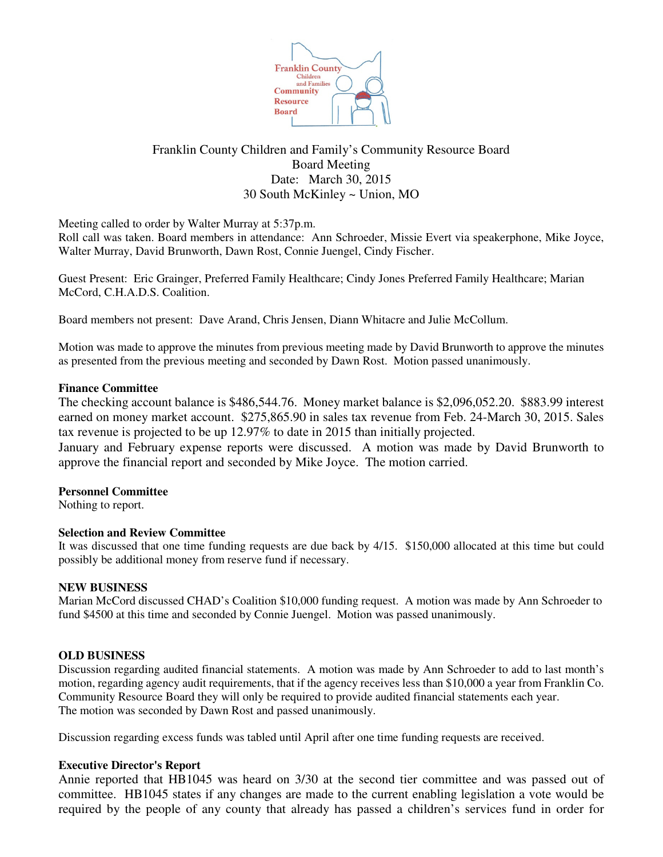

# Franklin County Children and Family's Community Resource Board Board Meeting Date: March 30, 2015 30 South McKinley ~ Union, MO

Meeting called to order by Walter Murray at 5:37p.m.

Roll call was taken. Board members in attendance: Ann Schroeder, Missie Evert via speakerphone, Mike Joyce, Walter Murray, David Brunworth, Dawn Rost, Connie Juengel, Cindy Fischer.

Guest Present: Eric Grainger, Preferred Family Healthcare; Cindy Jones Preferred Family Healthcare; Marian McCord, C.H.A.D.S. Coalition.

Board members not present: Dave Arand, Chris Jensen, Diann Whitacre and Julie McCollum.

Motion was made to approve the minutes from previous meeting made by David Brunworth to approve the minutes as presented from the previous meeting and seconded by Dawn Rost. Motion passed unanimously.

### **Finance Committee**

The checking account balance is \$486,544.76. Money market balance is \$2,096,052.20. \$883.99 interest earned on money market account. \$275,865.90 in sales tax revenue from Feb. 24-March 30, 2015. Sales tax revenue is projected to be up 12.97% to date in 2015 than initially projected.

January and February expense reports were discussed. A motion was made by David Brunworth to approve the financial report and seconded by Mike Joyce. The motion carried.

## **Personnel Committee**

Nothing to report.

## **Selection and Review Committee**

It was discussed that one time funding requests are due back by 4/15. \$150,000 allocated at this time but could possibly be additional money from reserve fund if necessary.

#### **NEW BUSINESS**

Marian McCord discussed CHAD's Coalition \$10,000 funding request. A motion was made by Ann Schroeder to fund \$4500 at this time and seconded by Connie Juengel. Motion was passed unanimously.

#### **OLD BUSINESS**

Discussion regarding audited financial statements. A motion was made by Ann Schroeder to add to last month's motion, regarding agency audit requirements, that if the agency receives less than \$10,000 a year from Franklin Co. Community Resource Board they will only be required to provide audited financial statements each year. The motion was seconded by Dawn Rost and passed unanimously.

Discussion regarding excess funds was tabled until April after one time funding requests are received.

## **Executive Director's Report**

Annie reported that HB1045 was heard on 3/30 at the second tier committee and was passed out of committee. HB1045 states if any changes are made to the current enabling legislation a vote would be required by the people of any county that already has passed a children's services fund in order for